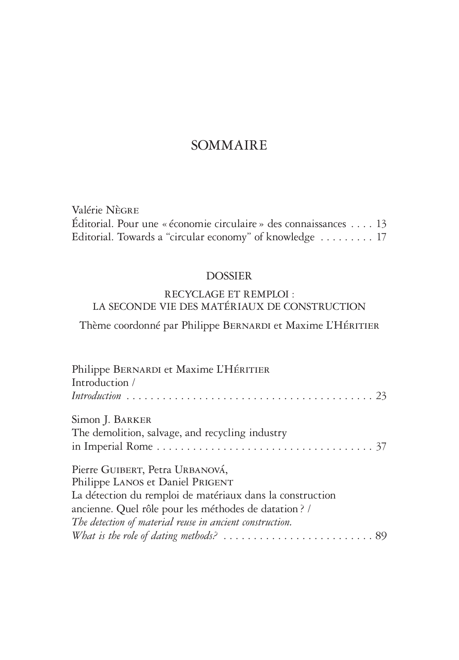# SOMMAIRE

Valérie Nègre Éditorial. Pour une « économie circulaire » des connaissances . . 13 Editorial. Towards a "circular economy" of knowledge . . . . . . . . . 17

### DOSSIER

# RECYCLAGE ET REMPLOI : LA SECONDE VIE DES MATÉRIAUX DE CONSTRUCTION

Thème coordonné par Philippe BERNARDI et Maxime L'HÉRITIER

| Philippe BERNARDI et Maxime L'HÉRITIER                                                             |
|----------------------------------------------------------------------------------------------------|
| Introduction /                                                                                     |
|                                                                                                    |
| Simon J. BARKER                                                                                    |
| The demolition, salvage, and recycling industry                                                    |
|                                                                                                    |
| Pierre GUIBERT, Petra URBANOVÁ,                                                                    |
| Philippe LANOS et Daniel PRIGENT                                                                   |
| La détection du remploi de matériaux dans la construction                                          |
| ancienne. Quel rôle pour les méthodes de datation? /                                               |
| The detection of material reuse in ancient construction.                                           |
| What is the role of dating methods? $\ldots \ldots \ldots \ldots \ldots \ldots \ldots \ldots$ . 89 |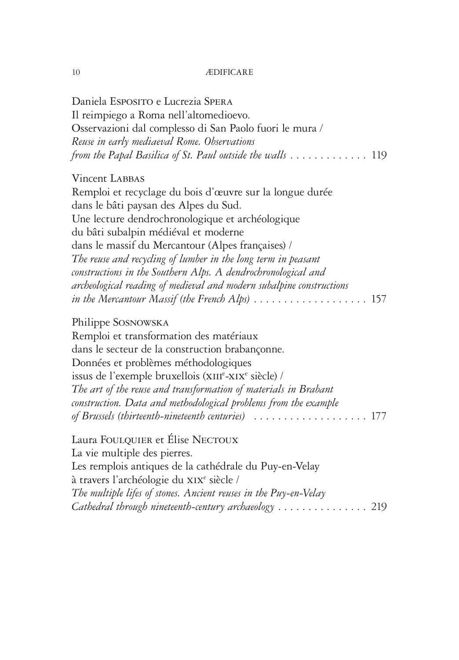#### $10$  ÆD

Daniela Esposito e Lucrezia Spera Il reimpiego a Roma nell'altomedioevo. Osservazioni dal complesso di San Paolo fuori le mura */ Reuse in early mediaeval Rome. Observations from the Papal Basilica of St. Paul outside the walls*  $\dots \dots \dots \dots \dots \dots \dots \dots \dots \dots \dots$ 

#### Vincent LABBAS

Remploi et recyclage du bois d'œuvre sur la longue durée dans le bâti paysan des Alpes du Sud. Une lecture dendrochronologique et archéologique du bâti subalpin médiéval et moderne dans le massif du Mercantour (Alpes françaises) / *The reuse and recycling of lumber in the long term in peasant constructions in the Southern Alps. A dendrochronological and archeological reading of medieval and modern subalpine constructions in the Mercantour Massif (the French Alps)*  $\ldots \ldots \ldots \ldots \ldots \ldots 157$ 

### Philippe Sosnowska

Remploi et transformation des matériaux dans le secteur de la construction brabançonne. Données et problèmes méthodologiques issus de l'exemple bruxellois (XIIIe-XIXe siècle) / *The art of the reuse and transformation of materials in Brabant construction. Data and methodological problems from the example of Brussels (thirteenth-nineteenth centuries)*. 177

Laura FOULQUIER et Élise NECTOUX La vie multiple des pierres. Les remplois antiques de la cathédrale du Puy-en-Velay à travers l'archéologie du XIX<sup>e</sup> siècle / *The multiple lifes of stones. Ancient reuses in the Puy-en-Velay Cathedral through nineteenth-century archaeology* .................. 219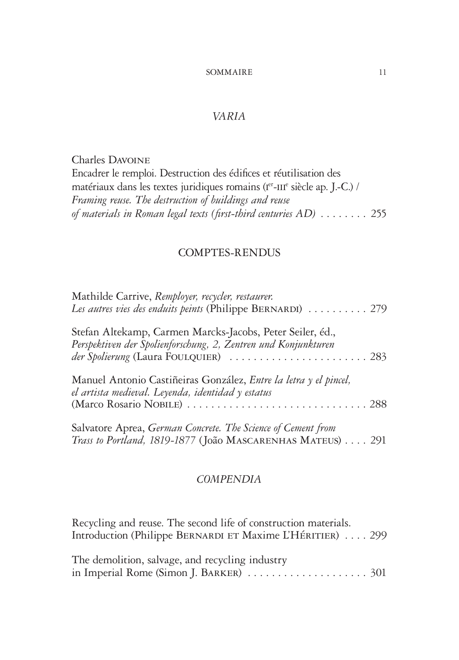# *VARIA*

Charles Davoine Encadrer le remploi. Destruction des édifices et réutilisation des matériaux dans les textes juridiques romains (Ier-III<sup>e</sup> siècle ap. J.-C.) / *Framing reuse. The destruction of buildings and reuse of materials in Roman legal texts (first-third centuries AD)* ........ 255

## COMPTES-RENDUS

| Mathilde Carrive, Remployer, recycler, restaurer.<br>Les autres vies des enduits peints (Philippe BERNARDI)  279                                                     |
|----------------------------------------------------------------------------------------------------------------------------------------------------------------------|
| Stefan Altekamp, Carmen Marcks-Jacobs, Peter Seiler, éd.,<br>Perspektiven der Spolienforschung, 2, Zentren und Konjunkturen<br>der Spolierung (Laura FOULQUIER)  283 |
| Manuel Antonio Castiñeiras González, Entre la letra y el pincel,<br>el artista medieval. Leyenda, identidad y estatus                                                |
| Salvatore Aprea, German Concrete. The Science of Cement from<br>Trass to Portland, 1819-1877 (João MASCARENHAS MATEUS) 291                                           |

# *COMPENDIA*

Recycling and reuse. The second life of construction materials. Introduction (Philippe BERNARDI ET Maxime L'HÉRITIER) .... 299

| The demolition, salvage, and recycling industry |  |
|-------------------------------------------------|--|
|                                                 |  |